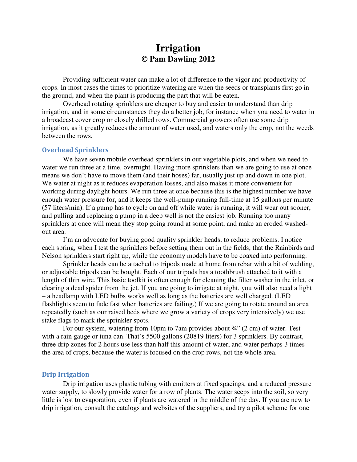# **Irrigation © Pam Dawling 2012**

Providing sufficient water can make a lot of difference to the vigor and productivity of crops. In most cases the times to prioritize watering are when the seeds or transplants first go in the ground, and when the plant is producing the part that will be eaten.

Overhead rotating sprinklers are cheaper to buy and easier to understand than drip irrigation, and in some circumstances they do a better job, for instance when you need to water in a broadcast cover crop or closely drilled rows. Commercial growers often use some drip irrigation, as it greatly reduces the amount of water used, and waters only the crop, not the weeds between the rows.

## Overhead Sprinklers

We have seven mobile overhead sprinklers in our vegetable plots, and when we need to water we run three at a time, overnight. Having more sprinklers than we are going to use at once means we don't have to move them (and their hoses) far, usually just up and down in one plot. We water at night as it reduces evaporation losses, and also makes it more convenient for working during daylight hours. We run three at once because this is the highest number we have enough water pressure for, and it keeps the well-pump running full-time at 15 gallons per minute (57 liters/min). If a pump has to cycle on and off while water is running, it will wear out sooner, and pulling and replacing a pump in a deep well is not the easiest job. Running too many sprinklers at once will mean they stop going round at some point, and make an eroded washedout area.

I'm an advocate for buying good quality sprinkler heads, to reduce problems. I notice each spring, when I test the sprinklers before setting them out in the fields, that the Rainbirds and Nelson sprinklers start right up, while the economy models have to be coaxed into performing.

Sprinkler heads can be attached to tripods made at home from rebar with a bit of welding, or adjustable tripods can be bought. Each of our tripods has a toothbrush attached to it with a length of thin wire. This basic toolkit is often enough for cleaning the filter washer in the inlet, or clearing a dead spider from the jet. If you are going to irrigate at night, you will also need a light – a headlamp with LED bulbs works well as long as the batteries are well charged. (LED flashlights seem to fade fast when batteries are failing.) If we are going to rotate around an area repeatedly (such as our raised beds where we grow a variety of crops very intensively) we use stake flags to mark the sprinkler spots.

For our system, watering from 10pm to 7am provides about ¾" (2 cm) of water. Test with a rain gauge or tuna can. That's 5500 gallons (20819 liters) for 3 sprinklers. By contrast, three drip zones for 2 hours use less than half this amount of water, and water perhaps 3 times the area of crops, because the water is focused on the crop rows, not the whole area.

## Drip Irrigation

Drip irrigation uses plastic tubing with emitters at fixed spacings, and a reduced pressure water supply, to slowly provide water for a row of plants. The water seeps into the soil, so very little is lost to evaporation, even if plants are watered in the middle of the day. If you are new to drip irrigation, consult the catalogs and websites of the suppliers, and try a pilot scheme for one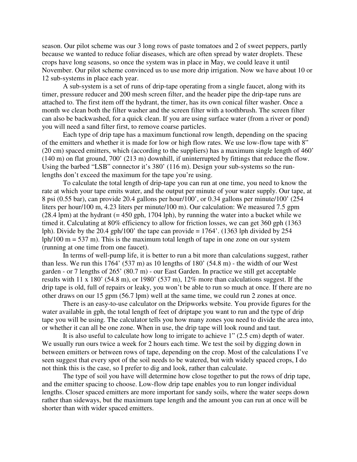season. Our pilot scheme was our 3 long rows of paste tomatoes and 2 of sweet peppers, partly because we wanted to reduce foliar diseases, which are often spread by water droplets. These crops have long seasons, so once the system was in place in May, we could leave it until November. Our pilot scheme convinced us to use more drip irrigation. Now we have about 10 or 12 sub-systems in place each year.

A sub-system is a set of runs of drip-tape operating from a single faucet, along with its timer, pressure reducer and 200 mesh screen filter, and the header pipe the drip-tape runs are attached to. The first item off the hydrant, the timer, has its own conical filter washer. Once a month we clean both the filter washer and the screen filter with a toothbrush. The screen filter can also be backwashed, for a quick clean. If you are using surface water (from a river or pond) you will need a sand filter first, to remove coarse particles.

Each type of drip tape has a maximum functional row length, depending on the spacing of the emitters and whether it is made for low or high flow rates. We use low-flow tape with 8" (20 cm) spaced emitters, which (according to the suppliers) has a maximum single length of 460' (140 m) on flat ground, 700' (213 m) downhill, if uninterrupted by fittings that reduce the flow. Using the barbed "LSB" connector it's 380' (116 m). Design your sub-systems so the runlengths don't exceed the maximum for the tape you're using.

To calculate the total length of drip-tape you can run at one time, you need to know the rate at which your tape emits water, and the output per minute of your water supply. Our tape, at 8 psi (0.55 bar), can provide 20.4 gallons per hour/100', or 0.34 gallons per minute/100' (254 liters per hour/100 m, 4.23 liters per minute/100 m). Our calculation: We measured 7.5 gpm  $(28.4 \text{ lpm})$  at the hydrant  $(= 450 \text{ gph}, 1704 \text{ lph})$ , by running the water into a bucket while we timed it. Calculating at 80% efficiency to allow for friction losses, we can get 360 gph (1363 lph). Divide by the 20.4 gph/100' the tape can provide  $= 1764'$ . (1363 lph divided by 254 lph/100  $m = 537$  m). This is the maximum total length of tape in one zone on our system (running at one time from one faucet).

In terms of well-pump life, it is better to run a bit more than calculations suggest, rather than less. We run this  $1764'$  (537 m) as 10 lengths of 180' (54.8 m) - the width of our West garden - or 7 lengths of 265' (80.7 m) - our East Garden. In practice we still get acceptable results with 11 x 180' (54.8 m), or 1980' (537 m), 12% more than calculations suggest. If the drip tape is old, full of repairs or leaky, you won't be able to run so much at once. If there are no other draws on our 15 gpm (56.7 lpm) well at the same time, we could run 2 zones at once.

 There is an easy-to-use calculator on the Dripworks website. You provide figures for the water available in gph, the total length of feet of driptape you want to run and the type of drip tape you will be using. The calculator tells you how many zones you need to divide the area into, or whether it can all be one zone. When in use, the drip tape will look round and taut.

 It is also useful to calculate how long to irrigate to achieve 1" (2.5 cm) depth of water. We usually run ours twice a week for 2 hours each time. We test the soil by digging down in between emitters or between rows of tape, depending on the crop. Most of the calculations I've seen suggest that every spot of the soil needs to be watered, but with widely spaced crops, I do not think this is the case, so I prefer to dig and look, rather than calculate.

 The type of soil you have will determine how close together to put the rows of drip tape, and the emitter spacing to choose. Low-flow drip tape enables you to run longer individual lengths. Closer spaced emitters are more important for sandy soils, where the water seeps down rather than sideways, but the maximum tape length and the amount you can run at once will be shorter than with wider spaced emitters.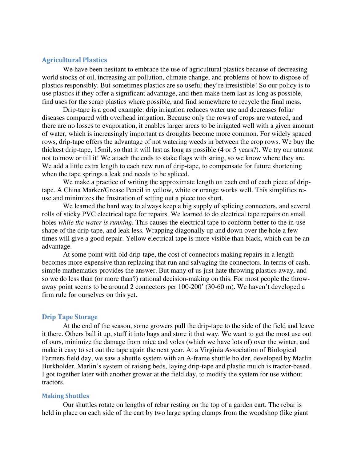## Agricultural Plastics

We have been hesitant to embrace the use of agricultural plastics because of decreasing world stocks of oil, increasing air pollution, climate change, and problems of how to dispose of plastics responsibly. But sometimes plastics are so useful they're irresistible! So our policy is to use plastics if they offer a significant advantage, and then make them last as long as possible, find uses for the scrap plastics where possible, and find somewhere to recycle the final mess.

Drip-tape is a good example: drip irrigation reduces water use and decreases foliar diseases compared with overhead irrigation. Because only the rows of crops are watered, and there are no losses to evaporation, it enables larger areas to be irrigated well with a given amount of water, which is increasingly important as droughts become more common. For widely spaced rows, drip-tape offers the advantage of not watering weeds in between the crop rows. We buy the thickest drip-tape, 15mil, so that it will last as long as possible (4 or 5 years?). We try our utmost not to mow or till it! We attach the ends to stake flags with string, so we know where they are. We add a little extra length to each new run of drip-tape, to compensate for future shortening when the tape springs a leak and needs to be spliced.

We make a practice of writing the approximate length on each end of each piece of driptape. A China Marker/Grease Pencil in yellow, white or orange works well. This simplifies reuse and minimizes the frustration of setting out a piece too short.

We learned the hard way to always keep a big supply of splicing connectors, and several rolls of sticky PVC electrical tape for repairs. We learned to do electrical tape repairs on small holes *while the water is running*. This causes the electrical tape to conform better to the in-use shape of the drip-tape, and leak less. Wrapping diagonally up and down over the hole a few times will give a good repair. Yellow electrical tape is more visible than black, which can be an advantage.

At some point with old drip-tape, the cost of connectors making repairs in a length becomes more expensive than replacing that run and salvaging the connectors. In terms of cash, simple mathematics provides the answer. But many of us just hate throwing plastics away, and so we do less than (or more than?) rational decision-making on this. For most people the throwaway point seems to be around 2 connectors per 100-200' (30-60 m). We haven't developed a firm rule for ourselves on this yet.

### **Drip Tape Storage**

At the end of the season, some growers pull the drip-tape to the side of the field and leave it there. Others ball it up, stuff it into bags and store it that way. We want to get the most use out of ours, minimize the damage from mice and voles (which we have lots of) over the winter, and make it easy to set out the tape again the next year. At a Virginia Association of Biological Farmers field day, we saw a shuttle system with an A-frame shuttle holder, developed by Marlin Burkholder. Marlin's system of raising beds, laying drip-tape and plastic mulch is tractor-based. I got together later with another grower at the field day, to modify the system for use without tractors.

#### Making Shuttles

Our shuttles rotate on lengths of rebar resting on the top of a garden cart. The rebar is held in place on each side of the cart by two large spring clamps from the woodshop (like giant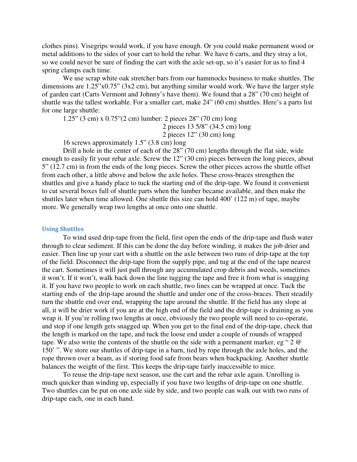clothes pins). Visegrips would work, if you have enough. Or you could make permanent wood or metal additions to the sides of your cart to hold the rebar. We have 6 carts, and they stray a lot, so we could never be sure of finding the cart with the axle set-up, so it's easier for us to find 4 spring clamps each time.

We use scrap white oak stretcher bars from our hammocks business to make shuttles. The dimensions are 1.25"x0.75" (3x2 cm), but anything similar would work. We have the larger style of garden cart (Carts Vermont and Johnny's have them). We found that a 28" (70 cm) height of shuttle was the tallest workable. For a smaller cart, make 24" (60 cm) shuttles. Here's a parts list for one large shuttle:

1.25" (3 cm) x 0.75"(2 cm) lumber: 2 pieces 28" (70 cm) long

2 pieces 13 5/8" (34.5 cm) long

2 pieces 12" (30 cm) long

16 screws approximately 1.5" (3.8 cm) long

Drill a hole in the center of each of the 28" (70 cm) lengths through the flat side, wide enough to easily fit your rebar axle. Screw the 12" (30 cm) pieces between the long pieces, about 5" (12.7 cm) in from the ends of the long pieces. Screw the other pieces across the shuttle offset from each other, a little above and below the axle holes. These cross-braces strengthen the shuttles and give a handy place to tuck the starting end of the drip-tape. We found it convenient to cut several boxes full of shuttle parts when the lumber became available, and then make the shuttles later when time allowed. One shuttle this size can hold 400' (122 m) of tape, maybe more. We generally wrap two lengths at once onto one shuttle.

## Using Shuttles

 To wind used drip-tape from the field, first open the ends of the drip-tape and flush water through to clear sediment. If this can be done the day before winding, it makes the job drier and easier. Then line up your cart with a shuttle on the axle between two runs of drip-tape at the top of the field. Disconnect the drip-tape from the supply pipe, and tug at the end of the tape nearest the cart. Sometimes it will just pull through any accumulated crop debris and weeds, sometimes it won't. If it won't, walk back down the line tugging the tape and free it from what is snagging it. If you have two people to work on each shuttle, two lines can be wrapped at once. Tuck the starting ends of the drip-tape around the shuttle and under one of the cross-braces. Then steadily turn the shuttle end over end, wrapping the tape around the shuttle. If the field has any slope at all, it will be drier work if you are at the high end of the field and the drip-tape is draining as you wrap it. If you're rolling two lengths at once, obviously the two people will need to co-operate, and stop if one length gets snagged up. When you get to the final end of the drip-tape, check that the length is marked on the tape, and tuck the loose end under a couple of rounds of wrapped tape. We also write the contents of the shuttle on the side with a permanent marker, eg " 2 @ 150' ". We store our shuttles of drip-tape in a barn, tied by rope through the axle holes, and the rope thrown over a beam, as if storing food safe from bears when backpacking. Another shuttle balances the weight of the first. This keeps the drip-tape fairly inaccessible to mice.

 To reuse the drip-tape next season, use the cart and the rebar axle again. Unrolling is much quicker than winding up, especially if you have two lengths of drip-tape on one shuttle. Two shuttles can be put on one axle side by side, and two people can walk out with two runs of drip-tape each, one in each hand.